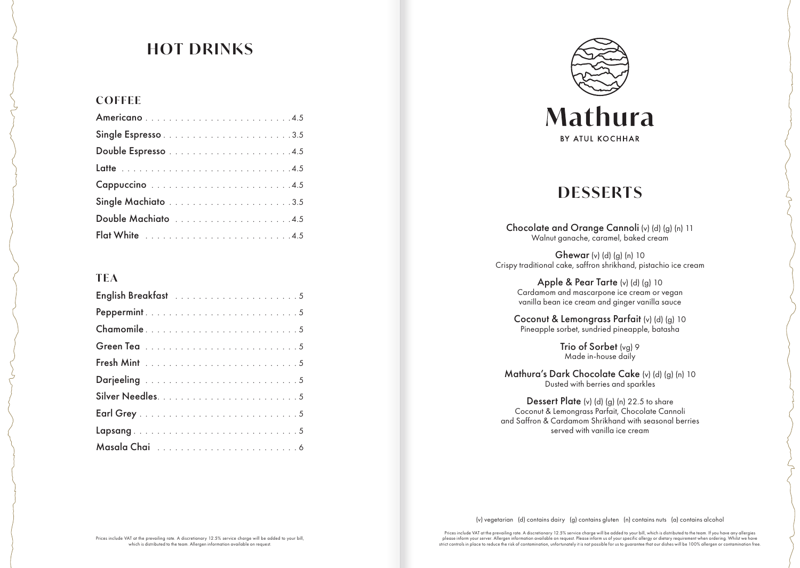# **HOT DRINKS**

#### **COFFEE**

#### **TEA**

| Chamomile5 |  |
|------------|--|
|            |  |
|            |  |
|            |  |
|            |  |
|            |  |
|            |  |
|            |  |



## **DESSERTS**

Chocolate and Orange Cannoli (v) (d) (g) (n) 11 Walnut ganache, caramel, baked cream

Ghewar (v) (d) (g) (n) 10 Crispy traditional cake, saffron shrikhand, pistachio ice cream

> Apple & Pear Tarte (v) (d) (g) 10 Cardamom and mascarpone ice cream or vegan vanilla bean ice cream and ginger vanilla sauce

Coconut & Lemongrass Parfait (v) (d) (g) 10 Pineapple sorbet, sundried pineapple, batasha

> Trio of Sorbet (vg) 9 Made in-house daily

Mathura's Dark Chocolate Cake (v) (d) (g) (n) 10 Dusted with berries and sparkles

Dessert Plate (v) (d) (g) (n) 22.5 to share Coconut & Lemongrass Parfait, Chocolate Cannoli and Saffron & Cardamom Shrikhand with seasonal berries served with vanilla ice cream

(v) vegetarian (d) contains dairy (g) contains gluten (n) contains nuts (a) contains alcohol

Prices include VAT at the prevailing rate. A discretionary 12.5% service charge will be added to your bill, which is distributed to the team. If you have any allergies please inform your server. Allergen information available on request. Please inform us of your specific allergy or dietary requirement when ordering. Whilst we have strict controls in place to reduce the risk of contamination, unfortunately it is not possible for us to guarantee that our dishes will be 100% allergen or contamination free.